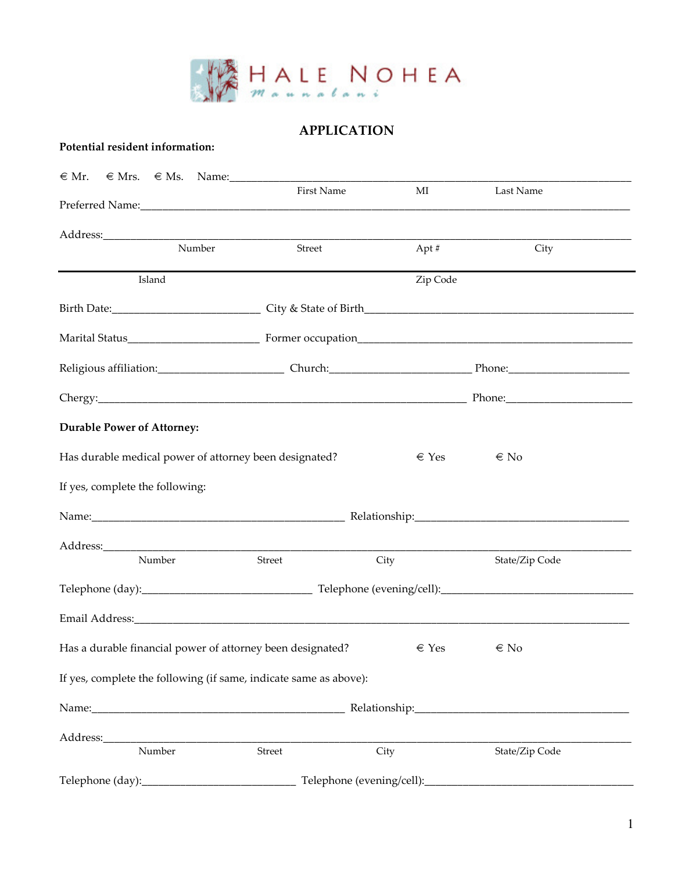

## APPLICATION

## Potential resident information:

| $\in$ Mr. $\in$ Mrs. $\in$ Ms. Name:                              |            |                |                |
|-------------------------------------------------------------------|------------|----------------|----------------|
|                                                                   | First Name | MI             | Last Name      |
|                                                                   |            |                |                |
| Number                                                            | Street     | Apt #          | City           |
| Island                                                            |            | Zip Code       |                |
|                                                                   |            |                |                |
|                                                                   |            |                |                |
|                                                                   |            |                |                |
|                                                                   |            |                |                |
| <b>Durable Power of Attorney:</b>                                 |            |                |                |
| Has durable medical power of attorney been designated?            |            | $\epsilon$ Yes | $\in$ No       |
| If yes, complete the following:                                   |            |                |                |
|                                                                   |            |                |                |
|                                                                   |            |                |                |
| Number                                                            | Street     | City           | State/Zip Code |
|                                                                   |            |                |                |
|                                                                   |            |                |                |
| Has a durable financial power of attorney been designated?        |            | $\in$ Yes      | $\in$ No       |
| If yes, complete the following (if same, indicate same as above): |            |                |                |
|                                                                   |            |                |                |
|                                                                   |            |                |                |
| Number                                                            | Street     | City           | State/Zip Code |
|                                                                   |            |                |                |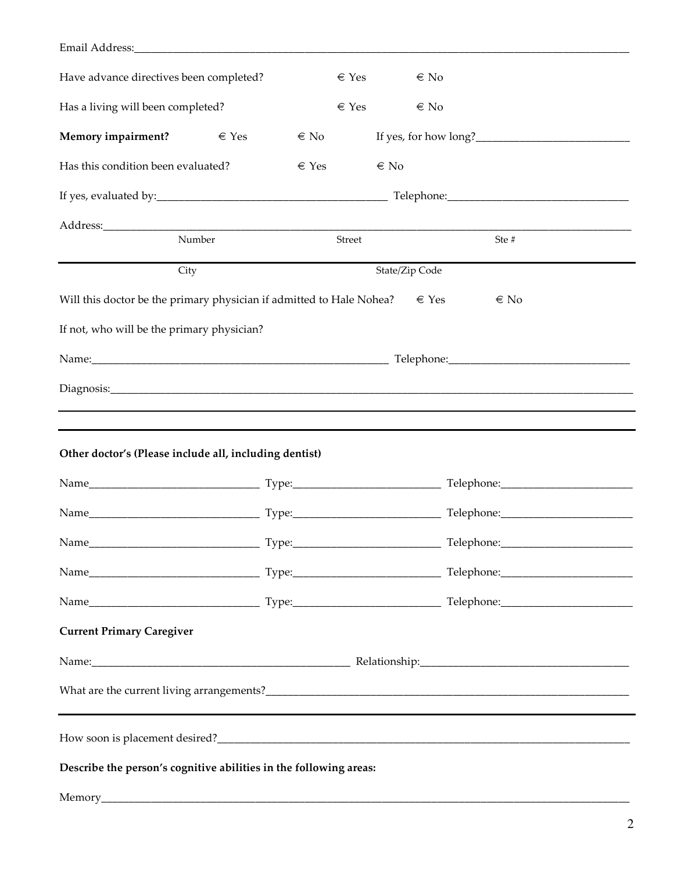| Have advance directives been completed?                                             |           |           | $\in$ Yes | $\in$ No       |          |
|-------------------------------------------------------------------------------------|-----------|-----------|-----------|----------------|----------|
| Has a living will been completed?                                                   |           | $\in$ Yes |           | $\in$ No       |          |
| <b>Memory impairment?</b>                                                           | $\in$ Yes | $\in$ No  |           |                |          |
| Has this condition been evaluated?                                                  |           | $\in$ Yes |           | $\in$ No       |          |
|                                                                                     |           |           |           |                |          |
|                                                                                     |           |           |           |                |          |
| Number                                                                              |           | Street    |           |                | Ste#     |
| City                                                                                |           |           |           | State/Zip Code |          |
| Will this doctor be the primary physician if admitted to Hale Nohea? $\epsilon$ Yes |           |           |           |                | $\in$ No |
| If not, who will be the primary physician?                                          |           |           |           |                |          |
|                                                                                     |           |           |           |                |          |
|                                                                                     |           |           |           |                |          |
| ,我们也不会有什么?""我们的人,我们也不会有什么?""我们的人,我们也不会有什么?""我们的人,我们也不会有什么?""我们的人,我们也不会有什么?""我们的人    |           |           |           |                |          |
| <u> 1989 - Andrea Stadt Brandenburg, amerikansk politiker (d. 1989)</u>             |           |           |           |                |          |
| Other doctor's (Please include all, including dentist)                              |           |           |           |                |          |
|                                                                                     |           |           |           |                |          |
|                                                                                     |           |           |           |                |          |
|                                                                                     |           |           |           |                |          |
|                                                                                     |           |           |           |                |          |
|                                                                                     |           |           |           |                |          |
| <b>Current Primary Caregiver</b>                                                    |           |           |           |                |          |
|                                                                                     |           |           |           |                |          |
|                                                                                     |           |           |           |                |          |
|                                                                                     |           |           |           |                |          |
| Describe the person's cognitive abilities in the following areas:                   |           |           |           |                |          |
|                                                                                     |           |           |           |                |          |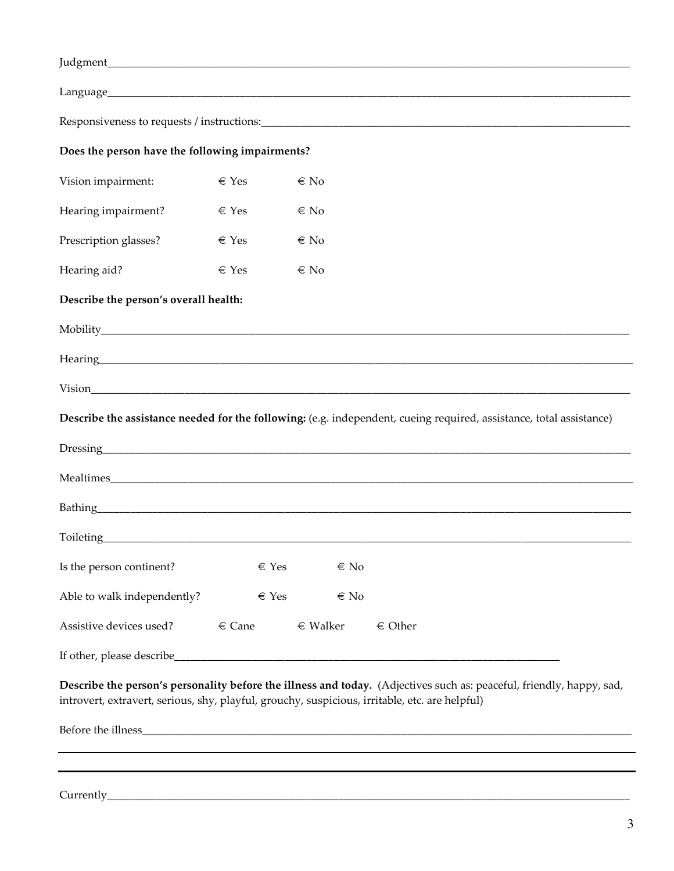| Does the person have the following impairments?                                                |            |              |                                                                                                                                                                                                                                           |
|------------------------------------------------------------------------------------------------|------------|--------------|-------------------------------------------------------------------------------------------------------------------------------------------------------------------------------------------------------------------------------------------|
| Vision impairment:                                                                             | $\in$ Yes  | $\in$ No     |                                                                                                                                                                                                                                           |
| Hearing impairment?                                                                            | $\in$ Yes  | $\in$ No     |                                                                                                                                                                                                                                           |
| Prescription glasses?                                                                          | $\in$ Yes  | $\in$ No     |                                                                                                                                                                                                                                           |
| Hearing aid?                                                                                   | $\in$ Yes  | $\in$ No     |                                                                                                                                                                                                                                           |
| Describe the person's overall health:                                                          |            |              |                                                                                                                                                                                                                                           |
|                                                                                                |            |              |                                                                                                                                                                                                                                           |
|                                                                                                |            |              |                                                                                                                                                                                                                                           |
|                                                                                                |            |              |                                                                                                                                                                                                                                           |
|                                                                                                |            |              | Describe the assistance needed for the following: (e.g. independent, cueing required, assistance, total assistance)                                                                                                                       |
|                                                                                                |            |              |                                                                                                                                                                                                                                           |
|                                                                                                |            |              |                                                                                                                                                                                                                                           |
|                                                                                                |            |              |                                                                                                                                                                                                                                           |
|                                                                                                |            |              | Toileting <b>Example 2018</b> Toileting <b>Contract Contract Contract Contract Contract Contract Contract Contract Contract Contract Contract Contract Contract Contract Contract Contract Contract Contract Contract Contract Contra</b> |
| Is the person continent?                                                                       | $\in$ Yes  | $\in$ No     |                                                                                                                                                                                                                                           |
| Able to walk independently?                                                                    | $\in$ Yes  | $\in$ No     |                                                                                                                                                                                                                                           |
| Assistive devices used?                                                                        | $\in$ Cane | $\in$ Walker | $\in$ Other                                                                                                                                                                                                                               |
|                                                                                                |            |              |                                                                                                                                                                                                                                           |
| introvert, extravert, serious, shy, playful, grouchy, suspicious, irritable, etc. are helpful) |            |              | Describe the person's personality before the illness and today. (Adjectives such as: peaceful, friendly, happy, sad,                                                                                                                      |
|                                                                                                |            |              |                                                                                                                                                                                                                                           |
|                                                                                                |            |              | ,我们也不会有一个人的人,我们也不会有一个人的人,我们也不会有一个人的人,我们也不会有一个人的人,我们也不会有一个人的人。""我们的人,我们也不会有一个人的人,我                                                                                                                                                         |
|                                                                                                |            |              |                                                                                                                                                                                                                                           |